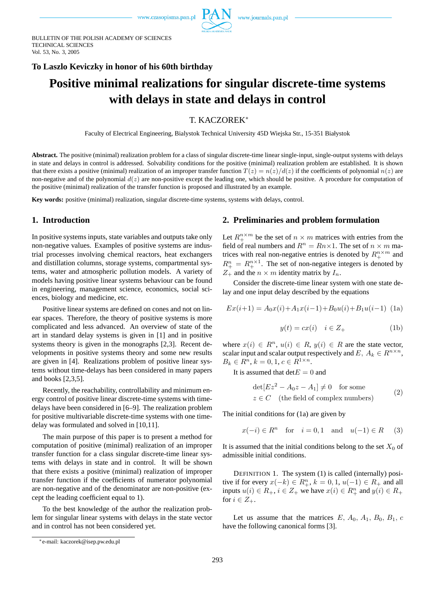

BULLETIN OF THE POLISH ACADEMY OF SCIENCES TECHNICAL SCIENCES Vol. 53, No. 3, 2005

### **To Laszlo Keviczky in honor of his 60th birthday**

# **Positive minimal realizations for singular discrete-time systems with delays in state and delays in control**

# T. KACZOREK<sup>∗</sup>

Faculty of Electrical Engineering, Bialystok Technical University 45D Wiejska Str., 15-351 Białystok

Abstract. The positive (minimal) realization problem for a class of singular discrete-time linear single-input, single-output systems with delays in state and delays in control is addressed. Solvability conditions for the positive (minimal) realization problem are established. It is shown that there exists a positive (minimal) realization of an improper transfer function  $T(z) = n(z)/d(z)$  if the coefficients of polynomial  $n(z)$  are non-negative and of the polynomial  $d(z)$  are non-positive except the leading one, which should be positive. A procedure for computation of the positive (minimal) realization of the transfer function is proposed and illustrated by an example.

**Key words:** positive (minimal) realization, singular discrete-time systems, systems with delays, control.

#### **1. Introduction**

In positive systems inputs, state variables and outputs take only non-negative values. Examples of positive systems are industrial processes involving chemical reactors, heat exchangers and distillation columns, storage systems, compartmental systems, water and atmospheric pollution models. A variety of models having positive linear systems behaviour can be found in engineering, management science, economics, social sciences, biology and medicine, etc.

Positive linear systems are defined on cones and not on linear spaces. Therefore, the theory of positive systems is more complicated and less advanced. An overview of state of the art in standard delay systems is given in [1] and in positive systems theory is given in the monographs [2,3]. Recent developments in positive systems theory and some new results are given in [4]. Realizations problem of positive linear systems without time-delays has been considered in many papers and books [2,3,5].

Recently, the reachability, controllability and minimum energy control of positive linear discrete-time systems with timedelays have been considered in [6–9]. The realization problem for positive multivariable discrete-time systems with one timedelay was formulated and solved in [10,11].

The main purpose of this paper is to present a method for computation of positive (minimal) realization of an improper transfer function for a class singular discrete-time linear systems with delays in state and in control. It will be shown that there exists a positive (minimal) realization of improper transfer function if the coefficients of numerator polynomial are non-negative and of the denominator are non-positive (except the leading coefficient equal to 1).

To the best knowledge of the author the realization problem for singular linear systems with delays in the state vector and in control has not been considered yet.

#### **2. Preliminaries and problem formulation**

Let  $R_+^{n \times m}$  be the set of  $n \times m$  matrices with entries from the field of real numbers and  $R^n = Rn \times 1$ . The set of  $n \times m$  matrices with real non-negative entries is denoted by  $R_+^{n \times m}$  and  $R^n_+ = R^{n \times 1}_+$ . The set of non-negative integers is denoted by  $Z_+$  and the  $n \times m$  identity matrix by  $I_n$ .

Consider the discrete-time linear system with one state delay and one input delay described by the equations

$$
Ex(i+1) = A_0x(i) + A_1x(i-1) + B_0u(i) + B_1u(i-1)
$$
 (1a)

$$
y(t) = cx(i) \quad i \in Z_+ \tag{1b}
$$

where  $x(i) \in R^n$ ,  $u(i) \in R$ ,  $y(i) \in R$  are the state vector, scalar input and scalar output respectively and E,  $A_k \in R^{n \times n}$ ,  $B_k \in R^n, k = 0, 1, c \in R^{1 \times n}.$ 

It is assumed that det  $E = 0$  and

$$
det[Ex2 - A0z - A1] \neq 0 \text{ for some}
$$
  
z \in C (the field of complex numbers) (2)

The initial conditions for (1a) are given by

$$
x(-i) \in R^n \quad \text{for} \quad i = 0, 1 \quad \text{and} \quad u(-1) \in R \tag{3}
$$

It is assumed that the initial conditions belong to the set  $X_0$  of admissible initial conditions.

DEFINITION 1. The system (1) is called (internally) positive if for every  $x(-k) \in R_+^n$ ,  $k = 0, 1, u(-1) \in R_+$  and all inputs  $u(i) \in R_+$ ,  $i \in Z_+$  we have  $x(i) \in R_+^n$  and  $y(i) \in R_+$ for  $i \in Z_+$ .

Let us assume that the matrices  $E, A_0, A_1, B_0, B_1, c$ have the following canonical forms [3].

<sup>∗</sup>e-mail: kaczorek@isep.pw.edu.pl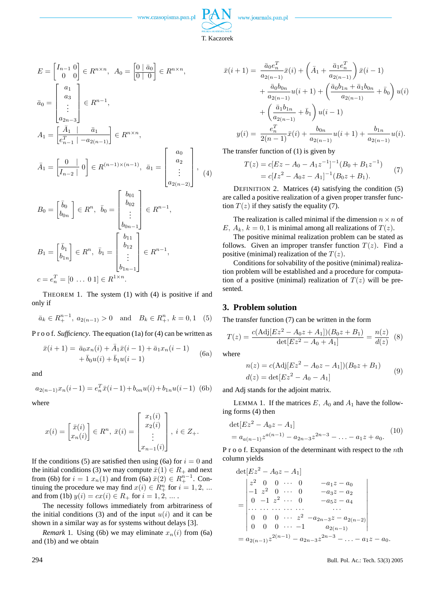

$$
E = \begin{bmatrix} I_{n-1} & 0 \\ 0 & 0 \end{bmatrix} \in R^{n \times n}, \quad A_0 = \begin{bmatrix} 0 & \bar{a}_0 \\ 0 & 0 \end{bmatrix} \in R^{n \times n},
$$

$$
\bar{a}_0 = \begin{bmatrix} a_1 \\ a_3 \\ \vdots \\ a_{2n-3} \end{bmatrix} \in R^{n-1},
$$

$$
A_1 = \begin{bmatrix} \bar{A}_1 & \bar{a}_1 \\ \bar{e}_{n-1}^T & -a_{2(n-1)} \end{bmatrix} \in R^{n \times n},
$$

$$
\bar{A}_1 = \left[\frac{0}{I_{n-2}}\right] \begin{matrix} 0 \end{matrix} \in R^{(n-1)\times(n-1)}, \ \bar{a}_1 = \begin{bmatrix} a_2 \\ \vdots \\ a_{2(n-2)} \end{bmatrix}, \ (4)
$$

$$
B_0 = \begin{bmatrix} \bar{b}_0 \\ b_{0n} \end{bmatrix} \in R^n, \quad \bar{b}_0 = \begin{bmatrix} b_{01} \\ b_{02} \\ \vdots \\ b_{0n-1} \end{bmatrix} \in R^{n-1},
$$

$$
B_1 = \begin{bmatrix} \bar{b}_1 \\ b_{1n} \end{bmatrix} \in R^n, \quad \bar{b}_1 = \begin{bmatrix} b_{11} \\ b_{12} \\ \vdots \\ b_{1n-1} \end{bmatrix} \in R^{n-1},
$$

$$
c = e_n^T = \begin{bmatrix} 0 & \dots & 0 \end{bmatrix} \in R^{1 \times n}.
$$

THEOREM 1. The system (1) with (4) is positive if and only if

$$
\bar{a}_k \in R_+^{n-1}, a_{2(n-1)} > 0
$$
 and  $B_k \in R_+^n, k = 0, 1$  (5)

P r o o f. *Sufficiency*. The equation (1a) for (4) can be written as

$$
\bar{x}(i+1) = \bar{a}_0 x_n(i) + \bar{A}_1 \bar{x}(i-1) + \bar{a}_1 x_n(i-1) \n+ \bar{b}_0 u(i) + \bar{b}_1 u(i-1)
$$
\n(6a)

and

$$
a_{2(n-1)}x_n(i-1) = e_n^T \bar{x}(i-1) + b_{on}u(i) + b_{1n}u(i-1)
$$
 (6b)

where

$$
x(i) = \begin{bmatrix} \bar{x}(i) \\ x_n(i) \end{bmatrix} \in R^n, \ \bar{x}(i) = \begin{bmatrix} x_1(i) \\ x_2(i) \\ \vdots \\ x_{n-1}(i) \end{bmatrix}, \ i \in Z_+.
$$

If the conditions (5) are satisfied then using (6a) for  $i = 0$  and the initial conditions (3) we may compute  $\bar{x}(1) \in R_+$  and next from (6b) for  $i = 1$   $x_n(1)$  and from (6a)  $\bar{x}(2) \in R_+^{n-1}$ . Continuing the procedure we may find  $x(i) \in R_+^n$  for  $i = 1, 2, ...$ and from (1b)  $y(i) = cx(i) \in R_+$  for  $i = 1, 2, ...$ .

The necessity follows immediately from arbitrariness of the initial conditions (3) and of the input  $u(i)$  and it can be shown in a similar way as for systems without delays [3].

*Remark* 1. Using (6b) we may eliminate  $x_n(i)$  from (6a) and (1b) and we obtain

$$
\bar{x}(i+1) = \frac{\bar{a}_0 e_n^T}{a_{2(n-1)}} \bar{x}(i) + \left(\bar{A}_1 + \frac{\bar{a}_1 e_n^T}{a_{2(n-1)}}\right) \bar{x}(i-1) \n+ \frac{\bar{a}_0 b_{0n}}{a_{2(n-1)}} u(i+1) + \left(\frac{\bar{a}_0 b_{1n} + \bar{a}_1 b_{0n}}{a_{2(n-1)}} + \bar{b}_0\right) u(i) \n+ \left(\frac{\bar{a}_1 b_{1n}}{a_{2(n-1)}} + \bar{b}_1\right) u(i-1) \n y(i) = \frac{e_n^T}{2(n-1)} \bar{x}(i) + \frac{b_{0n}}{a_{2(n-1)}} u(i+1) + \frac{b_{1n}}{a_{2(n-1)}} u(i).
$$

The transfer function of (1) is given by

$$
T(z) = c[Ez - A_0 - A_1 z^{-1}]^{-1} (B_0 + B_1 z^{-1})
$$
  
=  $c[Iz^2 - A_0 z - A_1]^{-1} (B_0 z + B_1).$  (7)

DEFINITION 2. Matrices (4) satisfying the condition (5) are called a positive realization of a given proper transfer function  $T(z)$  if they satisfy the equality (7).

The realization is called minimal if the dimension  $n \times n$  of E,  $A_k$ ,  $k = 0, 1$  is minimal among all realizations of  $T(z)$ .

The positive minimal realization problem can be stated as follows. Given an improper transfer function  $T(z)$ . Find a positive (minimal) realization of the  $T(z)$ .

Conditions for solvability of the positive (minimal) realization problem will be established and a procedure for computation of a positive (minimal) realization of  $T(z)$  will be presented.

#### **3. Problem solution**

The transfer function (7) can be written in the form

$$
T(z) = \frac{c(\text{Adj}[Ez^2 - A_0z + A_1])(B_0z + B_1)}{\det[Ez^2 - A_0 + A_1]} = \frac{n(z)}{d(z)}
$$
(8)

where

$$
n(z) = c(\text{Adj}[Ez^2 - A_0z - A_1])(B_0z + B_1)
$$
  
\n
$$
d(z) = \det[Ez^2 - A_0 - A_1]
$$
\n(9)

and Adj stands for the adjoint matrix.

LEMMA 1. If the matrices  $E$ ,  $A_0$  and  $A_1$  have the following forms (4) then

$$
\det[Ez^2 - A_0z - A_1] = a_{a(n-1)}z^{a(n-1)} - a_{2n-3}z^{2n-3} - \dots - a_1z + a_0.
$$
 (10)

P r o o f. Expansion of the determinant with respect to the *n*th column yields

$$
\det[Ez^2 - A_0z - A_1]
$$
\n
$$
= \begin{vmatrix}\nz^2 & 0 & 0 & \cdots & 0 & -a_1z - a_0 \\
-1 & z^2 & 0 & \cdots & 0 & -a_3z - a_2 \\
0 & -1 & z^2 & \cdots & 0 & -a_5z - a_4 \\
\cdots & \cdots & \cdots & \cdots & \cdots & \cdots \\
0 & 0 & 0 & \cdots & z^2 - a_{2n-3}z - a_{2(n-2)} \\
0 & 0 & 0 & \cdots & -1 & a_{2(n-1)} \\
= a_{2(n-1)}z^{2(n-1)} - a_{2n-3}z^{2n-3} - \cdots - a_1z - a_0.\n\end{vmatrix}
$$

294 Bull. Pol. Ac.: Tech. 53(3) 2005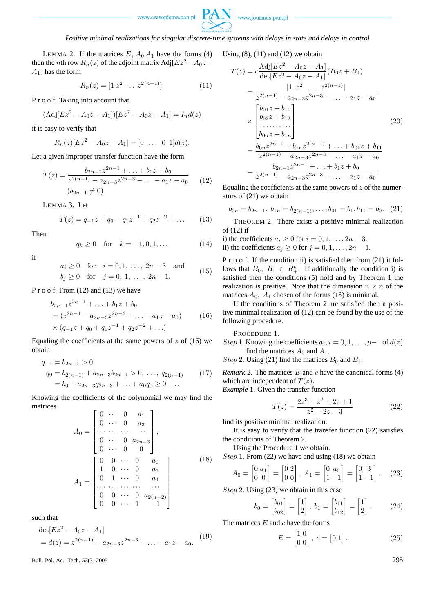

*Positive minimal realizations for singular discrete-time systems with delays in state and delays in control*

LEMMA 2. If the matrices  $E$ ,  $A_0$ ,  $A_1$  have the forms (4) then the *n*th row  $R_n(z)$  of the adjoint matrix Adj[ $Ez^2 - A_0z A_1$ ] has the form

$$
R_n(z) = [1 \ z^2 \ \dots \ z^{2(n-1)}]. \tag{11}
$$

P r o o f. Taking into account that

$$
(\text{Adj}[Ez^2 - A_0z - A_1])[Ez^2 - A_0z - A_1] = I_n d(z)
$$

it is easy to verify that

$$
R_n(z)[Ez^2 - A_0z - A_1] = [0 \ \ldots \ 0 \ 1]d(z).
$$

Let a given improper transfer function have the form

$$
T(z) = \frac{b_{2n-1}z^{2n-1} + \dots + b_1z + b_0}{z^{2(n-1)} - a_{2n-3}z^{2n-3} - \dots - a_1z - a_0}
$$
 (12)  

$$
(b_{2n-1} \neq 0)
$$

LEMMA 3. Let

$$
T(z) = q_{-1}z + q_0 + q_1 z^{-1} + q_2 z^{-2} + \dots \qquad (13)
$$

Then

$$
q_k \ge 0 \quad \text{for} \quad k = -1, 0, 1, \dots \tag{14}
$$

$$
\quad\text{if}\quad
$$

$$
a_i \ge 0
$$
 for  $i = 0, 1, ..., 2n - 3$  and  
\n $b_i \ge 0$  for  $j = 0, 1, ..., 2n - 1$ . (15)

P r o o f. From (12) and (13) we have

$$
b_{2n-1}z^{2n-1} + \dots + b_1z + b_0
$$
  
=  $(z^{2n-1} - a_{2n-3}z^{2n-3} - \dots - a_1z - a_0)$  (16)  
 $\times (q_{-1}z + q_0 + q_1z^{-1} + q_2z^{-2} + \dots).$ 

Equaling the coefficients at the same powers of  $z$  of (16) we obtain

$$
q_{-1} = b_{2n-1} > 0,
$$
  
\n
$$
q_0 = b_{2(n-1)} + a_{2n-3}b_{2n-1} > 0, \dots, q_{2(n-1)}
$$
  
\n
$$
= b_0 + a_{2n-3}q_{2n-3} + \dots + a_0q_0 \ge 0, \dots
$$
\n(17)

Knowing the coefficients of the polynomial we may find the matrices  $\overline{r}$  $\overline{a}$ 

$$
A_0 = \begin{bmatrix} 0 & \cdots & 0 & a_1 \\ 0 & \cdots & 0 & a_3 \\ \vdots & \vdots & \ddots & \vdots \\ 0 & \cdots & 0 & a_{2n-3} \\ 0 & \cdots & 0 & 0 \end{bmatrix},
$$
  
\n
$$
A_1 = \begin{bmatrix} 0 & 0 & \cdots & 0 & a_0 \\ 1 & 0 & \cdots & 0 & a_2 \\ 0 & 1 & \cdots & 0 & a_4 \\ \vdots & \vdots & \ddots & \vdots & \vdots \\ 0 & 0 & \cdots & 0 & a_{2(n-2)} \\ 0 & 0 & \cdots & 1 & -1 \end{bmatrix}
$$
 (18)

such that

$$
\det[Ez^2 - A_0z - A_1]
$$
  
=  $d(z) = z^{2(n-1)} - a_{2n-3}z^{2n-3} - \dots - a_1z - a_0.$  (19)

**Bull. Pol. Ac.: Tech. 53(3) 2005** 295

Using  $(8)$ ,  $(11)$  and  $(12)$  we obtain

$$
T(z) = c \frac{\text{Adj}[E z^2 - A_0 z - A_1]}{\det[E z^2 - A_0 z - A_1]} (B_0 z + B_1)
$$
  
= 
$$
\frac{[1 \ z^2 \ \cdots \ z^{2(n-1)}]}{z^{2(n-1)} - a_{2n-3} z^{2n-3} - \cdots - a_1 z - a_0}
$$
  

$$
\times \begin{bmatrix} b_{01} z + b_{11} \\ b_{02} z + b_{12} \\ \cdots \cdots \cdots \\ b_{0n} z + b_{1n} \end{bmatrix}
$$
(20)  
= 
$$
\frac{b_{0n} z^{2n-1} + b_{1n} z^{2(n-1)} + \cdots + b_{01} z + b_{11}}{z^{2(n-1)} - a_{2n-3} z^{2n-3} - \cdots - a_1 z - a_0}
$$
  
= 
$$
\frac{b_{2n-1} z^{2n-1} + \cdots + b_1 z + b_0}{z^{2(n-1)} - a_{2n-3} z^{2n-3} - \cdots - a_1 z - a_0}.
$$

Equaling the coefficients at the same powers of  $z$  of the numerators of (21) we obtain

$$
b_{0n} = b_{2n-1}, \ b_{1n} = b_{2(n-1)}, \dots, b_{01} = b_1, b_{11} = b_0. \tag{21}
$$

THEOREM 2. There exists a positive minimal realization of (12) if

- i) the coefficients  $a_i \geq 0$  for  $i = 0, 1, \ldots, 2n 3$ .
- ii) the coefficients  $a_j \geq 0$  for  $j = 0, 1, \ldots, 2n 1$ .

P r o o f. If the condition ii) is satisfied then from (21) it follows that  $B_0$ ,  $B_1 \in R_+^n$ . If additionally the condition i) is satisfied then the conditions (5) hold and by Theorem 1 the realization is positive. Note that the dimension  $n \times n$  of the matrices  $A_0$ ,  $A_1$  chosen of the forms (18) is minimal.

If the conditions of Theorem 2 are satisfied then a positive minimal realization of (12) can be found by the use of the following procedure.

PROCEDURE 1.

*Step* 1. Knowing the coefficients  $a_i$ ,  $i = 0, 1, \dots, p-1$  of  $d(z)$ find the matrices  $A_0$  and  $A_1$ .

Step 2. Using (21) find the matrices  $B_0$  and  $B_1$ .

*Remark* 2. The matrices  $E$  and  $c$  have the canonical forms  $(4)$ which are independent of  $T(z)$ .

*Example* 1. Given the transfer function

$$
T(z) = \frac{2z^3 + z^2 + 2z + 1}{z^2 - 2z - 3}
$$
 (22)

find its positive minimal realization.

It is easy to verify that the transfer function (22) satisfies the conditions of Theorem 2.

Using the Procedure 1 we obtain.

*Step* 1. From  $(22)$  we have and using  $(18)$  we obtain

$$
A_0 = \begin{bmatrix} 0 & a_1 \\ 0 & 0 \end{bmatrix} = \begin{bmatrix} 0 & 2 \\ 0 & 0 \end{bmatrix}, A_1 = \begin{bmatrix} 0 & a_0 \\ 1 & -1 \end{bmatrix} = \begin{bmatrix} 0 & 3 \\ 1 & -1 \end{bmatrix}. \tag{23}
$$

Step 2. Using (23) we obtain in this case

$$
b_0 = \begin{bmatrix} b_{01} \\ b_{02} \end{bmatrix} = \begin{bmatrix} 1 \\ 2 \end{bmatrix}, \ b_1 = \begin{bmatrix} b_{11} \\ b_{12} \end{bmatrix} = \begin{bmatrix} 1 \\ 2 \end{bmatrix}. \tag{24}
$$

The matrices  $E$  and  $c$  have the forms

$$
E = \begin{bmatrix} 1 & 0 \\ 0 & 0 \end{bmatrix}, \ c = \begin{bmatrix} 0 & 1 \end{bmatrix}.
$$
 (25)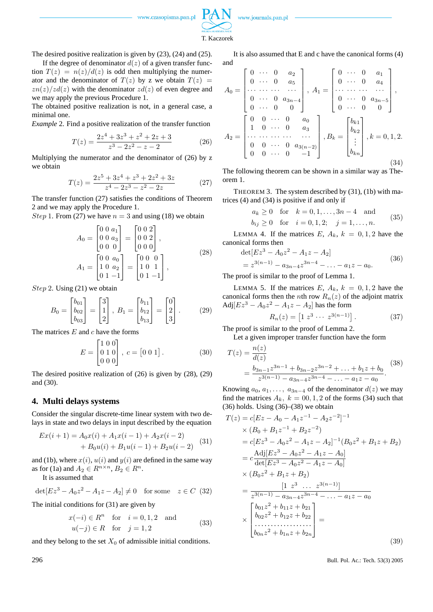

T. Kaczorek

The desired positive realization is given by (23), (24) and (25).

If the degree of denominator  $d(z)$  of a given transfer function  $T(z) = n(z)/d(z)$  is odd then multiplying the numerator and the denominator of  $T(z)$  by z we obtain  $T(z)$  =  $zn(z)/zd(z)$  with the denominator  $zd(z)$  of even degree and we may apply the previous Procedure 1.

The obtained positive realization is not, in a general case, a minimal one.

*Example* 2. Find a positive realization of the transfer function

$$
T(z) = \frac{2z^4 + 3z^3 + z^2 + 2z + 3}{z^3 - 2z^2 - z - 2}
$$
 (26)

Multiplying the numerator and the denominator of (26) by z we obtain

$$
T(z) = \frac{2z^5 + 3z^4 + z^3 + 2z^2 + 3z}{z^4 - 2z^3 - z^2 - 2z} \tag{27}
$$

The transfer function (27) satisfies the conditions of Theorem 2 and we may apply the Procedure 1.

*Step* 1. From (27) we have  $n = 3$  and using (18) we obtain

$$
A_0 = \begin{bmatrix} 0 & 0 & a_1 \\ 0 & 0 & a_3 \\ 0 & 0 & 0 \end{bmatrix} = \begin{bmatrix} 0 & 0 & 2 \\ 0 & 0 & 2 \\ 0 & 0 & 0 \end{bmatrix},
$$
  
\n
$$
A_1 = \begin{bmatrix} 0 & 0 & a_0 \\ 1 & 0 & a_2 \\ 0 & 1 & -1 \end{bmatrix} = \begin{bmatrix} 0 & 0 & 0 \\ 1 & 0 & 1 \\ 0 & 1 & -1 \end{bmatrix},
$$
\n(28)

Step 2. Using (21) we obtain

$$
B_0 = \begin{bmatrix} b_{01} \\ b_{02} \\ b_{03} \end{bmatrix} = \begin{bmatrix} 3 \\ 1 \\ 2 \end{bmatrix}, B_1 = \begin{bmatrix} b_{11} \\ b_{12} \\ b_{13} \end{bmatrix} = \begin{bmatrix} 0 \\ 2 \\ 3 \end{bmatrix}.
$$
 (29)

The matrices  $E$  and  $c$  have the forms Ţ --<br>-

$$
E = \begin{bmatrix} 1 & 0 & 0 \\ 0 & 1 & 0 \\ 0 & 0 & 0 \end{bmatrix}, \ c = \begin{bmatrix} 0 & 0 & 1 \end{bmatrix}. \tag{30}
$$

The desired positive realization of (26) is given by (28), (29) and (30).

#### **4. Multi delays systems**

Consider the singular discrete-time linear system with two delays in state and two delays in input described by the equation

$$
Ex(i + 1) = A_0x(i) + A_1x(i - 1) + A_2x(i - 2)
$$
  
+ 
$$
B_0u(i) + B_1u(i - 1) + B_2u(i - 2)
$$
 (31)

and (1b), where  $x(i)$ ,  $u(i)$  and  $y(i)$  are defined in the same way as for (1a) and  $A_2 \in R^{n \times n}$ ,  $B_2 \in R^n$ .

It is assumed that

 $\det[Ez^3 - A_0z^2 - A_1z - A_2] \neq 0$  for some  $z \in C$  (32)

The initial conditions for (31) are given by

$$
x(-i) \in R^n \quad \text{for} \quad i = 0, 1, 2 \quad \text{and}
$$

$$
u(-j) \in R \quad \text{for} \quad j = 1, 2 \tag{33}
$$

and they belong to the set  $X_0$  of admissible initial conditions.

It is also assumed that E and c have the canonical forms (4) and  $\overline{r}$  $\overline{a}$  $\overline{r}$  $\overline{a}$ 

$$
A_0 = \begin{bmatrix} 0 & \cdots & 0 & a_2 \\ 0 & \cdots & 0 & a_5 \\ \cdots & \cdots & \cdots & \cdots \\ 0 & \cdots & 0 & a_{3n-4} \\ 0 & \cdots & 0 & 0 \end{bmatrix}, A_1 = \begin{bmatrix} 0 & \cdots & 0 & a_1 \\ 0 & \cdots & 0 & a_4 \\ \cdots & \cdots & \cdots & \cdots \\ 0 & \cdots & 0 & a_{3n-5} \\ 0 & \cdots & 0 & 0 \end{bmatrix},
$$

$$
A_2 = \begin{bmatrix} 0 & 0 & \cdots & 0 & a_0 \\ 1 & 0 & \cdots & 0 & a_3 \\ \cdots & \cdots & \cdots & \cdots & \cdots \\ 0 & 0 & \cdots & 0 & a_{3(n-2)} \\ 0 & 0 & \cdots & 0 & -1 \end{bmatrix}, B_k = \begin{bmatrix} b_{k1} \\ b_{k2} \\ \vdots \\ b_{kn} \end{bmatrix}, k = 0, 1, 2.
$$
 (34)

The following theorem can be shown in a similar way as Theorem 1.

THEOREM 3. The system described by (31), (1b) with matrices (4) and (34) is positive if and only if

$$
a_k \ge 0
$$
 for  $k = 0, 1, ..., 3n - 4$  and  
\n $b_{ij} \ge 0$  for  $i = 0, 1, 2; j = 1, ..., n$ . (35)

LEMMA 4. If the matrices E,  $A_k$ ,  $k = 0, 1, 2$  have the canonical forms then

$$
\begin{aligned} \det[Ez^3 - A_0 z^2 - A_1 z - A_2] \\ &= z^{3(n-1)} - a_{3n-4} z^{3n-4} - \dots - a_1 z - a_0. \end{aligned} \tag{36}
$$

The proof is similar to the proof of Lemma 1.

LEMMA 5. If the matrices E,  $A_k$ ,  $k = 0, 1, 2$  have the canonical forms then the *n*th row  $R_n(z)$  of the adjoint matrix Adj $[Ez^3 - A_0z^2 - A_1z - A_2]$  has the form

$$
R_n(z) = \left[1 \ z^3 \ \cdots \ z^{3(n-1)}\right]. \tag{37}
$$

The proof is similar to the proof of Lemma 2.

Let a given improper transfer function have the form

$$
T(z) = \frac{n(z)}{d(z)}
$$
  
= 
$$
\frac{b_{3n-1}z^{3n-1} + b_{3n-2}z^{3n-2} + \dots + b_1z + b_0}{z^{3(n-1)} - a_{3n-4}z^{3n-4} - \dots - a_1z - a_0}
$$
 (38)

Knowing  $a_0, a_1, \ldots, a_{3n-4}$  of the denominator  $d(z)$  we may find the matrices  $A_k$ ,  $k = 00, 1, 2$  of the forms (34) such that  $(36)$  holds. Using  $(36)$ – $(38)$  we obtain

$$
T(z) = c[Ez - A_0 - A_1z^{-1} - A_2z^{-2}]^{-1}
$$
  
\n
$$
\times (B_0 + B_1z^{-1} + B_2z^{-2})
$$
  
\n
$$
= c[Ez^3 - A_0z^2 - A_1z - A_2]^{-1}(B_0z^2 + B_1z + B_2)
$$
  
\n
$$
= c\frac{\text{Adj}[Ez^3 - A_0z^2 - A_1z - A_0]}{\text{det}[Ez^3 - A_0z^2 - A_1z - A_0]}
$$
  
\n
$$
\times (B_0z^2 + B_1z + B_2)
$$
  
\n
$$
= \frac{[1 \ z^3 \ \dots \ z^{3(n-1)}]}{z^{3(n-1)} - a_{3n-4}z^{3n-4} - \dots - a_1z - a_0}
$$
  
\n
$$
\times \begin{bmatrix} b_{01}z^2 + b_{11}z + b_{21} \\ b_{02}z^2 + b_{12}z + b_{22} \\ \dots \\ b_{0n}z^2 + b_{1n}z + b_{2n} \end{bmatrix} = (39)
$$

296 Bull. Pol. Ac.: Tech. 53(3) 2005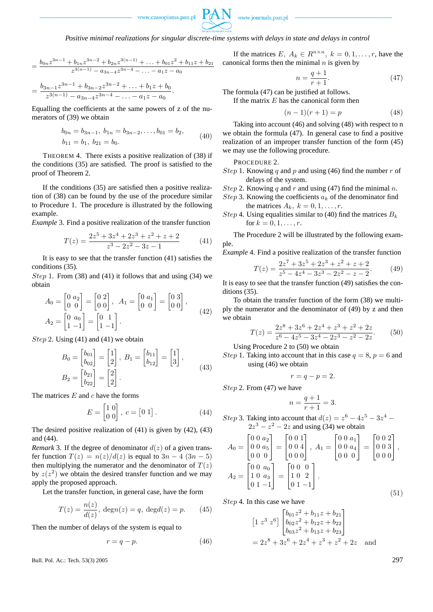

*Positive minimal realizations for singular discrete-time systems with delays in state and delays in control*

$$
=\frac{b_{0n}z^{3n-1}+b_{1n}z^{3n-2}+b_{2n}z^{3(n-1)}+\ldots+b_{01}z^{2}+b_{11}z+b_{21}}{z^{3(n-1)}-a_{3n-4}z^{3n-4}-\ldots-a_{1}z-a_{0}}
$$

$$
=\frac{b_{3n-1}z^{3n-1}+b_{3n-2}z^{3n-2}+\ldots+b_1z+b_0}{z^{3(n-1)}-a_{3n-4}z^{3n-4}-\ldots-a_1z-a_0}.
$$

Equalling the coefficients at the same powers of z of the numerators of (39) we obtain

$$
b_{0n} = b_{3n-1}, b_{1n} = b_{3n-2},..., b_{01} = b_2,b_{11} = b_1, b_{21} = b_0.
$$
 (40)

THEOREM 4. There exists a positive realization of (38) if the conditions (35) are satisfied. The proof is satisfied to the proof of Theorem 2.

If the conditions (35) are satisfied then a positive realization of (38) can be found by the use of the procedure similar to Procedure 1. The procedure is illustrated by the following example.

*Example* 3. Find a positive realization of the transfer function

$$
T(z) = \frac{2z^5 + 3z^4 + 2z^3 + z^2 + z + 2}{z^3 - 2z^2 - 3z - 1}
$$
 (41)

It is easy to see that the transfer function (41) satisfies the conditions (35).

Step 1. From (38) and (41) it follows that and using (34) we obtain

$$
A_0 = \begin{bmatrix} 0 & a_2 \\ 0 & 0 \end{bmatrix} = \begin{bmatrix} 0 & 2 \\ 0 & 0 \end{bmatrix}, A_1 = \begin{bmatrix} 0 & a_1 \\ 0 & 0 \end{bmatrix} = \begin{bmatrix} 0 & 3 \\ 0 & 0 \end{bmatrix},
$$
  
\n
$$
A_2 = \begin{bmatrix} 0 & a_0 \\ 1 & -1 \end{bmatrix} = \begin{bmatrix} 0 & 1 \\ 1 & -1 \end{bmatrix}.
$$
 (42)

Step 2. Using  $(41)$  and  $(41)$  we obtain

$$
B_0 = \begin{bmatrix} b_{01} \\ b_{02} \end{bmatrix} = \begin{bmatrix} 1 \\ 2 \end{bmatrix}, B_1 = \begin{bmatrix} b_{11} \\ b_{12} \end{bmatrix} = \begin{bmatrix} 1 \\ 3 \end{bmatrix},
$$
  
\n
$$
B_2 = \begin{bmatrix} b_{21} \\ b_{22} \end{bmatrix} = \begin{bmatrix} 2 \\ 2 \end{bmatrix}.
$$
\n(43)

The matrices  $E$  and  $c$  have the forms

$$
E = \begin{bmatrix} 1 & 0 \\ 0 & 0 \end{bmatrix}, \ c = \begin{bmatrix} 0 & 1 \end{bmatrix}.
$$
 (44)

The desired positive realization of (41) is given by (42), (43) and (44).

*Remark* 3. If the degree of denominator  $d(z)$  of a given transfer function  $T(z) = n(z)/d(z)$  is equal to  $3n - 4 (3n - 5)$ then multiplying the numerator and the denominator of  $T(z)$ by  $z(z^2)$  we obtain the desired transfer function and we may apply the proposed approach.

Let the transfer function, in general case, have the form

$$
T(z) = \frac{n(z)}{d(z)}, \text{ deg } n(z) = q, \text{ deg } d(z) = p. \tag{45}
$$

Then the number of delays of the system is equal to

$$
r = q - p.\t\t(46)
$$

**Bull. Pol. Ac.: Tech. 53(3) 2005** 297

If the matrices E,  $A_k \in R^{n \times n}$ ,  $k = 0, 1, \dots, r$ , have the canonical forms then the minimal  $n$  is given by

$$
n = \frac{q+1}{r+1}.\tag{47}
$$

The formula (47) can be justified at follows.

If the matrix  $E$  has the canonical form then

$$
(n-1)(r+1) = p \t\t(48)
$$

Taking into account (46) and solving (48) with respect to n we obtain the formula (47). In general case to find a positive realization of an improper transfer function of the form (45) we may use the following procedure.

PROCEDURE 2.

*Step* 1. Knowing q and p and using (46) find the number r of delays of the system.

Step 2. Knowing 
$$
q
$$
 and  $r$  and using (47) find the minimal  $n$ .

- Step 3. Knowing the coefficients  $a_k$  of the denominator find the matrices  $A_k$ ,  $k = 0, 1, \ldots, r$ .
- Step 4. Using equalities similar to (40) find the matrices  $B_k$ for  $k = 0, 1, ..., r$ .

The Procedure 2 will be illustrated by the following example.

*Example* 4. Find a positive realization of the transfer function  $7^7+3z^5+2z^3+z^2+z+2$ 

$$
T(z) = \frac{2z^7 + 3z^5 + 2z^3 + z^2 + z + 2}{z^5 - 4z^4 - 3z^3 - 2z^2 - z - 2}.
$$
 (49)

It is easy to see that the transfer function (49) satisfies the conditions (35).

To obtain the transfer function of the form (38) we multiply the numerator and the denominator of (49) by z and then we obtain

$$
T(z) = \frac{2z^8 + 3z^6 + 2z^4 + z^3 + z^2 + 2z}{z^6 - 4z^5 - 3z^4 - 2z^3 - z^2 - 2z}.
$$
 (50)

Using Procedure 2 to (50) we obtain

*Step* 1. Taking into account that in this case  $q = 8$ ,  $p = 6$  and using (46) we obtain

$$
r = q - p = 2.
$$

Step 2. From (47) we have

$$
n = \frac{q+1}{r+1} = 3.
$$

*Step* 3. Taking into account that  $d(z) = z^6 - 4z^5 - 3z^4 2z^3 - z^2 - 2z$  and using (34) we obtain

$$
A_0 = \begin{bmatrix} 0 & 0 & a_2 \\ 0 & 0 & a_5 \\ 0 & 0 & 0 \end{bmatrix} = \begin{bmatrix} 0 & 0 & 1 \\ 0 & 0 & 4 \\ 0 & 0 & 0 \end{bmatrix}, A_1 = \begin{bmatrix} 0 & 0 & a_1 \\ 0 & 0 & a_4 \\ 0 & 0 & 0 \end{bmatrix} = \begin{bmatrix} 0 & 0 & 2 \\ 0 & 0 & 3 \\ 0 & 0 & 0 \end{bmatrix},
$$

$$
A_2 = \begin{bmatrix} 0 & 0 & a_0 \\ 1 & 0 & a_3 \\ 0 & 1 & -1 \end{bmatrix} = \begin{bmatrix} 0 & 0 & 0 \\ 1 & 0 & 2 \\ 0 & 1 & -1 \end{bmatrix}.
$$
(51)

Step 4. In this case we have

$$
\begin{bmatrix} 1 \ z^3 \ z^6 \end{bmatrix} \begin{bmatrix} b_{01}z^2 + b_{11}z + b_{21} \\ b_{02}z^2 + b_{12}z + b_{22} \\ b_{03}z^2 + b_{13}z + b_{23} \end{bmatrix}
$$
  
=  $2z^8 + 3z^6 + 2z^4 + z^3 + z^2 + 2z$  and